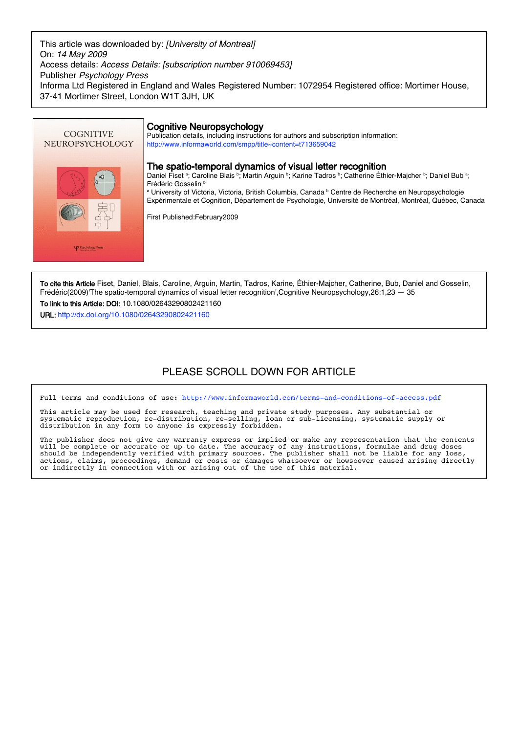This article was downloaded by: [University of Montreal] On: 14 May 2009 Access details: Access Details: [subscription number 910069453] Publisher Psychology Press Informa Ltd Registered in England and Wales Registered Number: 1072954 Registered office: Mortimer House, 37-41 Mortimer Street, London W1T 3JH, UK



To cite this Article Fiset, Daniel, Blais, Caroline, Arguin, Martin, Tadros, Karine, Éthier-Majcher, Catherine, Bub, Daniel and Gosselin, Frédéric(2009)'The spatio-temporal dynamics of visual letter recognition',Cognitive Neuropsychology,26:1,23 — 35

To link to this Article: DOI: 10.1080/02643290802421160

URL:<http://dx.doi.org/10.1080/02643290802421160>

# PLEASE SCROLL DOWN FOR ARTICLE

Full terms and conditions of use:<http://www.informaworld.com/terms-and-conditions-of-access.pdf>

This article may be used for research, teaching and private study purposes. Any substantial or systematic reproduction, re-distribution, re-selling, loan or sub-licensing, systematic supply or distribution in any form to anyone is expressly forbidden.

The publisher does not give any warranty express or implied or make any representation that the contents will be complete or accurate or up to date. The accuracy of any instructions, formulae and drug doses should be independently verified with primary sources. The publisher shall not be liable for any loss, actions, claims, proceedings, demand or costs or damages whatsoever or howsoever caused arising directly or indirectly in connection with or arising out of the use of this material.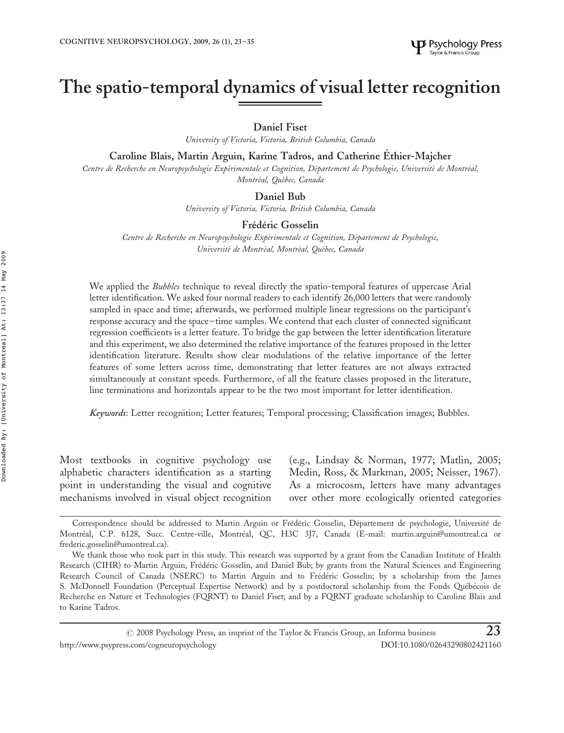# The spatio-temporal dynamics of visual letter recognition

Daniel Fiset

University of Victoria, Victoria, British Columbia, Canada

Caroline Blais, Martin Arguin, Karine Tadros, and Catherine Ethier-Majcher

Centre de Recherche en Neuropsychologie Expérimentale et Cognition, Département de Psychologie, Université de Montréal, Montréal, Québec, Canada

#### Daniel Bub

University of Victoria, Victoria, British Columbia, Canada

#### Frédéric Gosselin

Centre de Recherche en Neuropsychologie Expérimentale et Cognition, Département de Psychologie, Université de Montréal, Montréal, Québec, Canada

We applied the *Bubbles* technique to reveal directly the spatio-temporal features of uppercase Arial letter identification. We asked four normal readers to each identify 26,000 letters that were randomly sampled in space and time; afterwards, we performed multiple linear regressions on the participant's response accuracy and the space – time samples. We contend that each cluster of connected significant regression coefficients is a letter feature. To bridge the gap between the letter identification literature and this experiment, we also determined the relative importance of the features proposed in the letter identification literature. Results show clear modulations of the relative importance of the letter features of some letters across time, demonstrating that letter features are not always extracted simultaneously at constant speeds. Furthermore, of all the feature classes proposed in the literature, line terminations and horizontals appear to be the two most important for letter identification.

Keywords: Letter recognition; Letter features; Temporal processing; Classification images; Bubbles.

Most textbooks in cognitive psychology use alphabetic characters identification as a starting point in understanding the visual and cognitive mechanisms involved in visual object recognition (e.g., Lindsay & Norman, 1977; Matlin, 2005; Medin, Ross, & Markman, 2005; Neisser, 1967). As a microcosm, letters have many advantages over other more ecologically oriented categories

Correspondence should be addressed to Martin Arguin or Frédéric Gosselin, Département de psychologie, Université de Montréal, C.P. 6128, Succ. Centre-ville, Montréal, QC, H3C 3J7, Canada (E-mail: martin.arguin@umontreal.ca or frederic.gosselin@umontreal.ca).

We thank those who took part in this study. This research was supported by a grant from the Canadian Institute of Health Research (CIHR) to Martin Arguin, Frédéric Gosselin, and Daniel Bub; by grants from the Natural Sciences and Engineering Research Council of Canada (NSERC) to Martin Arguin and to Frédéric Gosselin; by a scholarship from the James S. McDonnell Foundation (Perceptual Expertise Network) and by a postdoctoral scholarship from the Fonds Québécois de Recherche en Nature et Technologies (FQRNT) to Daniel Fiset; and by a FQRNT graduate scholarship to Caroline Blais and to Karine Tadros.

 $\circledcirc$  2008 Psychology Press, an imprint of the Taylor & Francis Group, an Informa business  $23$ http://www.psypress.com/cogneuropsychology DOI:10.1080/02643290802421160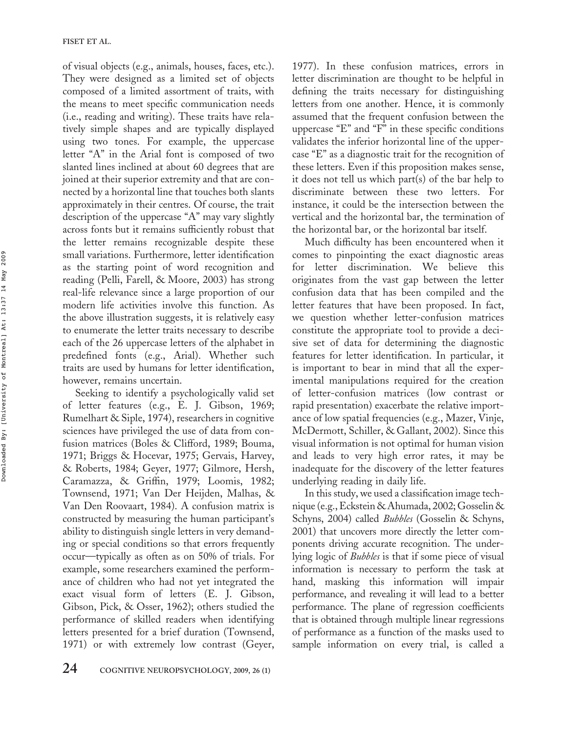of visual objects (e.g., animals, houses, faces, etc.). They were designed as a limited set of objects composed of a limited assortment of traits, with the means to meet specific communication needs (i.e., reading and writing). These traits have relatively simple shapes and are typically displayed using two tones. For example, the uppercase letter "A" in the Arial font is composed of two slanted lines inclined at about 60 degrees that are joined at their superior extremity and that are connected by a horizontal line that touches both slants approximately in their centres. Of course, the trait description of the uppercase "A" may vary slightly across fonts but it remains sufficiently robust that the letter remains recognizable despite these small variations. Furthermore, letter identification as the starting point of word recognition and reading (Pelli, Farell, & Moore, 2003) has strong real-life relevance since a large proportion of our modern life activities involve this function. As the above illustration suggests, it is relatively easy to enumerate the letter traits necessary to describe each of the 26 uppercase letters of the alphabet in predefined fonts (e.g., Arial). Whether such traits are used by humans for letter identification, however, remains uncertain.

Seeking to identify a psychologically valid set of letter features (e.g., E. J. Gibson, 1969; Rumelhart & Siple, 1974), researchers in cognitive sciences have privileged the use of data from confusion matrices (Boles & Clifford, 1989; Bouma, 1971; Briggs & Hocevar, 1975; Gervais, Harvey, & Roberts, 1984; Geyer, 1977; Gilmore, Hersh, Caramazza, & Griffin, 1979; Loomis, 1982; Townsend, 1971; Van Der Heijden, Malhas, & Van Den Roovaart, 1984). A confusion matrix is constructed by measuring the human participant's ability to distinguish single letters in very demanding or special conditions so that errors frequently occur—typically as often as on 50% of trials. For example, some researchers examined the performance of children who had not yet integrated the exact visual form of letters (E. J. Gibson, Gibson, Pick, & Osser, 1962); others studied the performance of skilled readers when identifying letters presented for a brief duration (Townsend, 1971) or with extremely low contrast (Geyer,

1977). In these confusion matrices, errors in letter discrimination are thought to be helpful in defining the traits necessary for distinguishing letters from one another. Hence, it is commonly assumed that the frequent confusion between the uppercase "E" and "F" in these specific conditions validates the inferior horizontal line of the uppercase "E" as a diagnostic trait for the recognition of these letters. Even if this proposition makes sense, it does not tell us which part(s) of the bar help to discriminate between these two letters. For instance, it could be the intersection between the vertical and the horizontal bar, the termination of the horizontal bar, or the horizontal bar itself.

Much difficulty has been encountered when it comes to pinpointing the exact diagnostic areas for letter discrimination. We believe this originates from the vast gap between the letter confusion data that has been compiled and the letter features that have been proposed. In fact, we question whether letter-confusion matrices constitute the appropriate tool to provide a decisive set of data for determining the diagnostic features for letter identification. In particular, it is important to bear in mind that all the experimental manipulations required for the creation of letter-confusion matrices (low contrast or rapid presentation) exacerbate the relative importance of low spatial frequencies (e.g., Mazer, Vinje, McDermott, Schiller, & Gallant, 2002). Since this visual information is not optimal for human vision and leads to very high error rates, it may be inadequate for the discovery of the letter features underlying reading in daily life.

In this study, we used a classification image technique (e.g., Eckstein & Ahumada, 2002; Gosselin & Schyns, 2004) called Bubbles (Gosselin & Schyns, 2001) that uncovers more directly the letter components driving accurate recognition. The underlying logic of *Bubbles* is that if some piece of visual information is necessary to perform the task at hand, masking this information will impair performance, and revealing it will lead to a better performance. The plane of regression coefficients that is obtained through multiple linear regressions of performance as a function of the masks used to sample information on every trial, is called a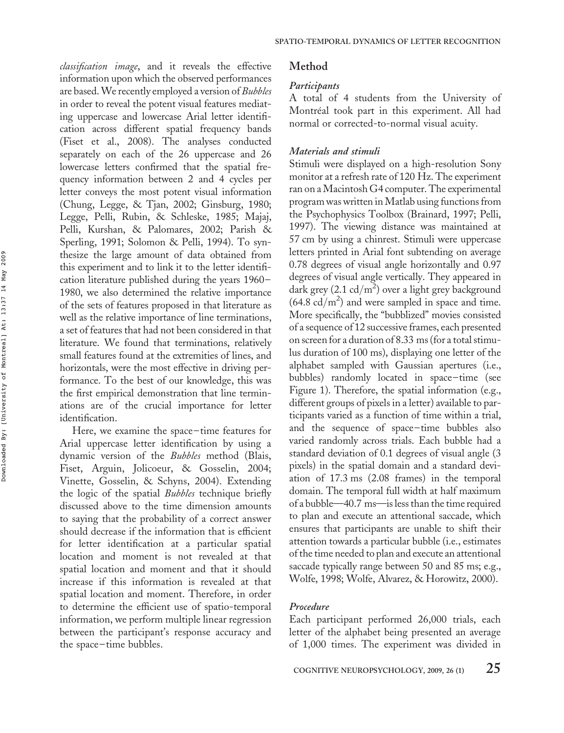classification image, and it reveals the effective information upon which the observed performances are based. We recently employed a version of Bubbles in order to reveal the potent visual features mediating uppercase and lowercase Arial letter identification across different spatial frequency bands (Fiset et al., 2008). The analyses conducted separately on each of the 26 uppercase and 26 lowercase letters confirmed that the spatial frequency information between 2 and 4 cycles per letter conveys the most potent visual information (Chung, Legge, & Tjan, 2002; Ginsburg, 1980; Legge, Pelli, Rubin, & Schleske, 1985; Majaj, Pelli, Kurshan, & Palomares, 2002; Parish & Sperling, 1991; Solomon & Pelli, 1994). To synthesize the large amount of data obtained from this experiment and to link it to the letter identification literature published during the years 1960– 1980, we also determined the relative importance of the sets of features proposed in that literature as well as the relative importance of line terminations, a set of features that had not been considered in that literature. We found that terminations, relatively small features found at the extremities of lines, and horizontals, were the most effective in driving performance. To the best of our knowledge, this was the first empirical demonstration that line terminations are of the crucial importance for letter identification.

Here, we examine the space – time features for Arial uppercase letter identification by using a dynamic version of the Bubbles method (Blais, Fiset, Arguin, Jolicoeur, & Gosselin, 2004; Vinette, Gosselin, & Schyns, 2004). Extending the logic of the spatial *Bubbles* technique briefly discussed above to the time dimension amounts to saying that the probability of a correct answer should decrease if the information that is efficient for letter identification at a particular spatial location and moment is not revealed at that spatial location and moment and that it should increase if this information is revealed at that spatial location and moment. Therefore, in order to determine the efficient use of spatio-temporal information, we perform multiple linear regression between the participant's response accuracy and the space – time bubbles.

#### Method

#### Participants

A total of 4 students from the University of Montréal took part in this experiment. All had normal or corrected-to-normal visual acuity.

#### Materials and stimuli

Stimuli were displayed on a high-resolution Sony monitor at a refresh rate of 120 Hz. The experiment ran on a Macintosh G4 computer. The experimental program was written inMatlab using functions from the Psychophysics Toolbox (Brainard, 1997; Pelli, 1997). The viewing distance was maintained at 57 cm by using a chinrest. Stimuli were uppercase letters printed in Arial font subtending on average 0.78 degrees of visual angle horizontally and 0.97 degrees of visual angle vertically. They appeared in dark grey (2.1 cd/m<sup>2</sup>) over a light grey background  $(64.8 \text{ cd/m}^2)$  and were sampled in space and time. More specifically, the "bubblized" movies consisted of a sequence of 12 successive frames, each presented on screen for a duration of 8.33 ms (for a total stimulus duration of 100 ms), displaying one letter of the alphabet sampled with Gaussian apertures (i.e., bubbles) randomly located in space–time (see Figure 1). Therefore, the spatial information (e.g., different groups of pixels in a letter) available to participants varied as a function of time within a trial, and the sequence of space-time bubbles also varied randomly across trials. Each bubble had a standard deviation of 0.1 degrees of visual angle (3 pixels) in the spatial domain and a standard deviation of 17.3 ms (2.08 frames) in the temporal domain. The temporal full width at half maximum of a bubble—40.7 ms—is less than the time required to plan and execute an attentional saccade, which ensures that participants are unable to shift their attention towards a particular bubble (i.e., estimates of the time needed to plan and execute an attentional saccade typically range between 50 and 85 ms; e.g., Wolfe, 1998; Wolfe, Alvarez, & Horowitz, 2000).

#### Procedure

Each participant performed 26,000 trials, each letter of the alphabet being presented an average of 1,000 times. The experiment was divided in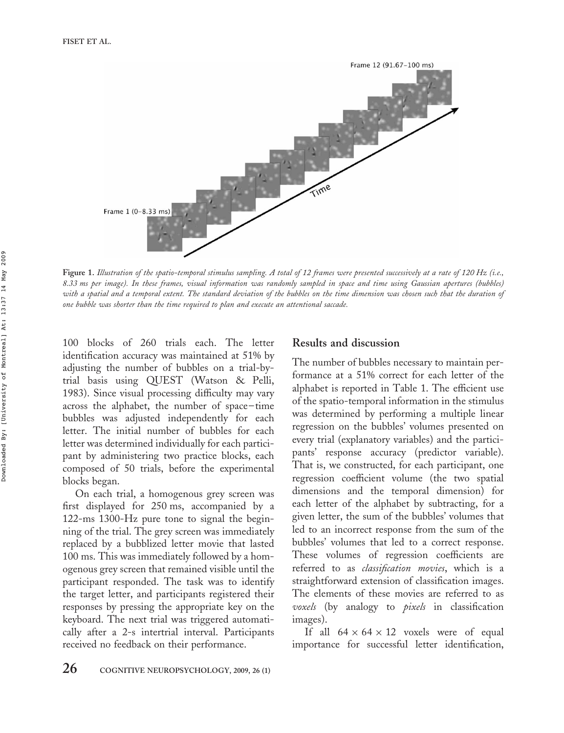

Figure 1. Illustration of the spatio-temporal stimulus sampling. A total of 12 frames were presented successively at a rate of 120 Hz (i.e., 8.33 ms per image). In these frames, visual information was randomly sampled in space and time using Gaussian apertures (bubbles) with a spatial and a temporal extent. The standard deviation of the bubbles on the time dimension was chosen such that the duration of one bubble was shorter than the time required to plan and execute an attentional saccade.

100 blocks of 260 trials each. The letter identification accuracy was maintained at 51% by adjusting the number of bubbles on a trial-bytrial basis using QUEST (Watson & Pelli, 1983). Since visual processing difficulty may vary across the alphabet, the number of space-time bubbles was adjusted independently for each letter. The initial number of bubbles for each letter was determined individually for each participant by administering two practice blocks, each composed of 50 trials, before the experimental blocks began.

On each trial, a homogenous grey screen was first displayed for 250 ms, accompanied by a 122-ms 1300-Hz pure tone to signal the beginning of the trial. The grey screen was immediately replaced by a bubblized letter movie that lasted 100 ms. This was immediately followed by a homogenous grey screen that remained visible until the participant responded. The task was to identify the target letter, and participants registered their responses by pressing the appropriate key on the keyboard. The next trial was triggered automatically after a 2-s intertrial interval. Participants received no feedback on their performance.

#### Results and discussion

The number of bubbles necessary to maintain performance at a 51% correct for each letter of the alphabet is reported in Table 1. The efficient use of the spatio-temporal information in the stimulus was determined by performing a multiple linear regression on the bubbles' volumes presented on every trial (explanatory variables) and the participants' response accuracy (predictor variable). That is, we constructed, for each participant, one regression coefficient volume (the two spatial dimensions and the temporal dimension) for each letter of the alphabet by subtracting, for a given letter, the sum of the bubbles' volumes that led to an incorrect response from the sum of the bubbles' volumes that led to a correct response. These volumes of regression coefficients are referred to as *classification movies*, which is a straightforward extension of classification images. The elements of these movies are referred to as voxels (by analogy to *pixels* in classification images).

If all  $64 \times 64 \times 12$  voxels were of equal importance for successful letter identification,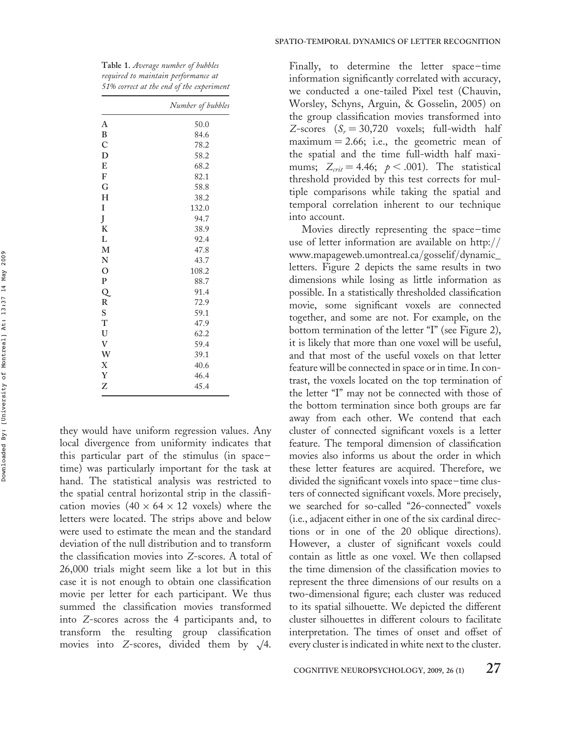Table 1. Average number of bubbles required to maintain performance at 51% correct at the end of the experiment

|                           | Number of bubbles |  |  |  |  |  |  |  |  |
|---------------------------|-------------------|--|--|--|--|--|--|--|--|
| A                         | 50.0              |  |  |  |  |  |  |  |  |
| B                         | 84.6              |  |  |  |  |  |  |  |  |
| $\mathbf C$               | 78.2              |  |  |  |  |  |  |  |  |
| D                         | 58.2              |  |  |  |  |  |  |  |  |
| E                         | 68.2              |  |  |  |  |  |  |  |  |
| F                         | 82.1              |  |  |  |  |  |  |  |  |
| G                         | 58.8              |  |  |  |  |  |  |  |  |
| Н                         | 38.2              |  |  |  |  |  |  |  |  |
| T                         | 132.0             |  |  |  |  |  |  |  |  |
| J                         | 94.7              |  |  |  |  |  |  |  |  |
| K                         | 38.9              |  |  |  |  |  |  |  |  |
| L                         | 92.4              |  |  |  |  |  |  |  |  |
| M                         | 47.8              |  |  |  |  |  |  |  |  |
| N                         | 43.7              |  |  |  |  |  |  |  |  |
| $\mathcal{O}$             | 108.2             |  |  |  |  |  |  |  |  |
| P                         | 88.7              |  |  |  |  |  |  |  |  |
| Q                         | 91.4              |  |  |  |  |  |  |  |  |
| $\mathbb{R}$              | 72.9              |  |  |  |  |  |  |  |  |
| S                         | 59.1              |  |  |  |  |  |  |  |  |
| T                         | 47.9              |  |  |  |  |  |  |  |  |
| U                         | 62.2              |  |  |  |  |  |  |  |  |
| $\boldsymbol{\mathrm{V}}$ | 59.4              |  |  |  |  |  |  |  |  |
| W                         | 39.1              |  |  |  |  |  |  |  |  |
| X                         | 40.6              |  |  |  |  |  |  |  |  |
| Y                         | 46.4              |  |  |  |  |  |  |  |  |
| Z                         | 45.4              |  |  |  |  |  |  |  |  |
|                           |                   |  |  |  |  |  |  |  |  |

they would have uniform regression values. Any local divergence from uniformity indicates that this particular part of the stimulus (in space – time) was particularly important for the task at hand. The statistical analysis was restricted to the spatial central horizontal strip in the classification movies  $(40 \times 64 \times 12 \text{ voxels})$  where the letters were located. The strips above and below were used to estimate the mean and the standard deviation of the null distribution and to transform the classification movies into Z-scores. A total of 26,000 trials might seem like a lot but in this case it is not enough to obtain one classification movie per letter for each participant. We thus summed the classification movies transformed into Z-scores across the 4 participants and, to transform the resulting group classification movies into Z-scores, divided them by  $\sqrt{4}$ .

Finally, to determine the letter space-time information significantly correlated with accuracy, we conducted a one-tailed Pixel test (Chauvin, Worsley, Schyns, Arguin, & Gosselin, 2005) on the group classification movies transformed into Z-scores  $(S_r = 30,720$  voxels; full-width half maximum  $= 2.66$ ; i.e., the geometric mean of the spatial and the time full-width half maximums;  $Z_{crit} = 4.46; \rho < .001$ ). The statistical threshold provided by this test corrects for multiple comparisons while taking the spatial and temporal correlation inherent to our technique into account.

Movies directly representing the space-time use of letter information are available on http:// www.mapageweb.umontreal.ca/gosselif/dynamic\_ letters. Figure 2 depicts the same results in two dimensions while losing as little information as possible. In a statistically thresholded classification movie, some significant voxels are connected together, and some are not. For example, on the bottom termination of the letter "I" (see Figure 2), it is likely that more than one voxel will be useful, and that most of the useful voxels on that letter feature will be connected in space or in time. In contrast, the voxels located on the top termination of the letter "I" may not be connected with those of the bottom termination since both groups are far away from each other. We contend that each cluster of connected significant voxels is a letter feature. The temporal dimension of classification movies also informs us about the order in which these letter features are acquired. Therefore, we divided the significant voxels into space– time clusters of connected significant voxels. More precisely, we searched for so-called "26-connected" voxels (i.e., adjacent either in one of the six cardinal directions or in one of the 20 oblique directions). However, a cluster of significant voxels could contain as little as one voxel. We then collapsed the time dimension of the classification movies to represent the three dimensions of our results on a two-dimensional figure; each cluster was reduced to its spatial silhouette. We depicted the different cluster silhouettes in different colours to facilitate interpretation. The times of onset and offset of every cluster is indicated in white next to the cluster.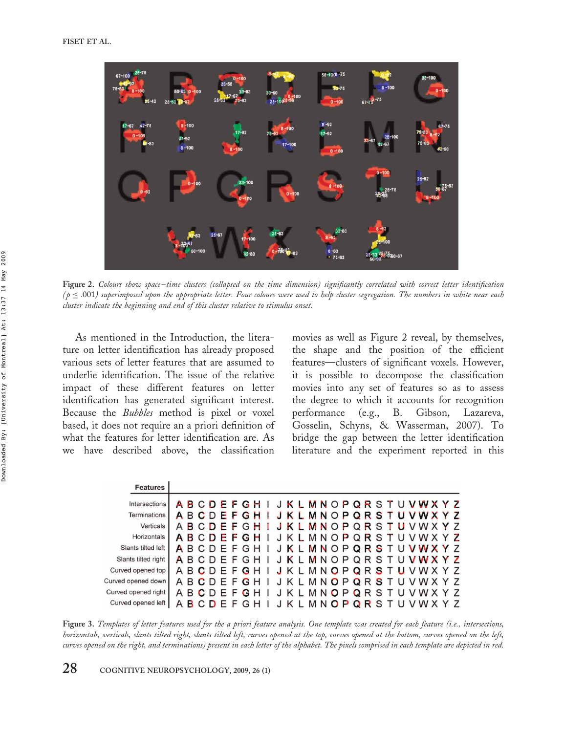

Figure 2. Colours show space–time clusters (collapsed on the time dimension) significantly correlated with correct letter identification  $(p \leq .001)$  superimposed upon the appropriate letter. Four colours were used to help cluster segregation. The numbers in white near each cluster indicate the beginning and end of this cluster relative to stimulus onset.

As mentioned in the Introduction, the literature on letter identification has already proposed various sets of letter features that are assumed to underlie identification. The issue of the relative impact of these different features on letter identification has generated significant interest. Because the Bubbles method is pixel or voxel based, it does not require an a priori definition of what the features for letter identification are. As we have described above, the classification

movies as well as Figure 2 reveal, by themselves, the shape and the position of the efficient features—clusters of significant voxels. However, it is possible to decompose the classification movies into any set of features so as to assess the degree to which it accounts for recognition performance (e.g., B. Gibson, Lazareva, Gosselin, Schyns, & Wasserman, 2007). To bridge the gap between the letter identification literature and the experiment reported in this

| <b>Features</b>     |  |                                                     |  |  |  |  |  |  |  |  |  |                                   |  |  |
|---------------------|--|-----------------------------------------------------|--|--|--|--|--|--|--|--|--|-----------------------------------|--|--|
| Intersections       |  | A B C D E F G H I J K L M N O P Q R S T U V W X Y Z |  |  |  |  |  |  |  |  |  |                                   |  |  |
| <b>Terminations</b> |  | <b>ABCDEFGHI</b>                                    |  |  |  |  |  |  |  |  |  | <b>JKLMNOPORSTUVWXYZ</b>          |  |  |
| Verticals           |  | ABCDEFGHI                                           |  |  |  |  |  |  |  |  |  | <b>JKLMNOPQRSTUVWXYZ</b>          |  |  |
| Horizontals         |  | <b>ABCDEFGHI</b>                                    |  |  |  |  |  |  |  |  |  | JKLMNOPQRSTUVWXYZ                 |  |  |
| Slants tilted left  |  | <b>ABCDEFGHI</b>                                    |  |  |  |  |  |  |  |  |  | <b>JKLMNOPQRSTUVWXYZ</b>          |  |  |
| Slants tilted right |  | <b>ABCDEFGHI</b>                                    |  |  |  |  |  |  |  |  |  | <b>JKLMNOPQRSTUVWXYZ</b>          |  |  |
| Curved opened top   |  | ABCDEFGHI                                           |  |  |  |  |  |  |  |  |  | <b>JKLMNOPQRSTUVWXYZ</b>          |  |  |
| Curved opened down  |  | ABCDEFGHI                                           |  |  |  |  |  |  |  |  |  | <b>JKLMNOPQRSTUVWXYZ</b>          |  |  |
| Curved opened right |  | A B C D E F G H I                                   |  |  |  |  |  |  |  |  |  | <b>JKLMNOPQRSTUVWXYZ</b>          |  |  |
| Curved opened left  |  | A <b>B</b> C <b>D</b> E F G H I                     |  |  |  |  |  |  |  |  |  | J K L M N O P Q R S T U V W X Y Z |  |  |

Figure 3. Templates of letter features used for the a priori feature analysis. One template was created for each feature (i.e., intersections, horizontals, verticals, slants tilted right, slants tilted left, curves opened at the top, curves opened at the bottom, curves opened on the left, curves opened on the right, and terminations) present in each letter of the alphabet. The pixels comprised in each template are depicted in red.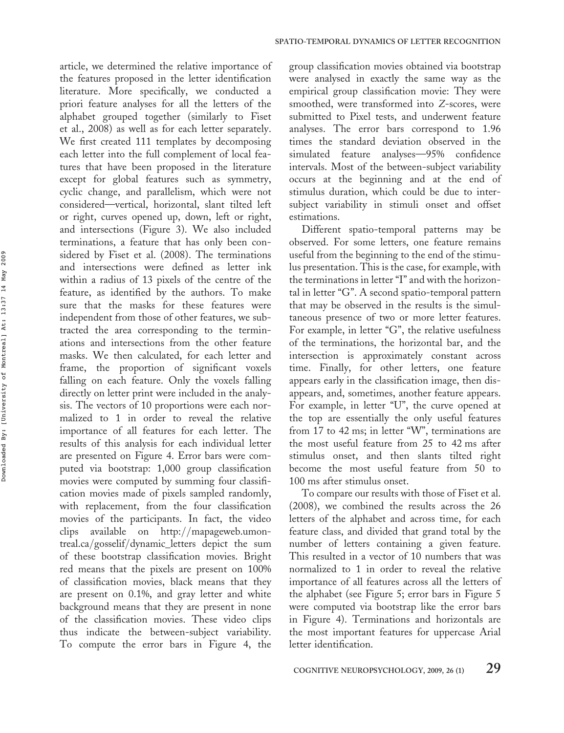article, we determined the relative importance of the features proposed in the letter identification literature. More specifically, we conducted a priori feature analyses for all the letters of the alphabet grouped together (similarly to Fiset et al., 2008) as well as for each letter separately. We first created 111 templates by decomposing each letter into the full complement of local features that have been proposed in the literature except for global features such as symmetry, cyclic change, and parallelism, which were not considered—vertical, horizontal, slant tilted left or right, curves opened up, down, left or right, and intersections (Figure 3). We also included terminations, a feature that has only been considered by Fiset et al. (2008). The terminations and intersections were defined as letter ink within a radius of 13 pixels of the centre of the feature, as identified by the authors. To make sure that the masks for these features were independent from those of other features, we subtracted the area corresponding to the terminations and intersections from the other feature masks. We then calculated, for each letter and frame, the proportion of significant voxels falling on each feature. Only the voxels falling directly on letter print were included in the analysis. The vectors of 10 proportions were each normalized to 1 in order to reveal the relative importance of all features for each letter. The results of this analysis for each individual letter are presented on Figure 4. Error bars were computed via bootstrap: 1,000 group classification movies were computed by summing four classification movies made of pixels sampled randomly, with replacement, from the four classification movies of the participants. In fact, the video clips available on http://mapageweb.umontreal.ca/gosselif/dynamic\_letters depict the sum of these bootstrap classification movies. Bright red means that the pixels are present on 100% of classification movies, black means that they are present on 0.1%, and gray letter and white background means that they are present in none of the classification movies. These video clips thus indicate the between-subject variability. To compute the error bars in Figure 4, the

group classification movies obtained via bootstrap were analysed in exactly the same way as the empirical group classification movie: They were smoothed, were transformed into Z-scores, were submitted to Pixel tests, and underwent feature analyses. The error bars correspond to 1.96 times the standard deviation observed in the simulated feature analyses—95% confidence intervals. Most of the between-subject variability occurs at the beginning and at the end of stimulus duration, which could be due to intersubject variability in stimuli onset and offset estimations.

Different spatio-temporal patterns may be observed. For some letters, one feature remains useful from the beginning to the end of the stimulus presentation. This is the case, for example, with the terminations in letter "I" and with the horizontal in letter "G". A second spatio-temporal pattern that may be observed in the results is the simultaneous presence of two or more letter features. For example, in letter "G", the relative usefulness of the terminations, the horizontal bar, and the intersection is approximately constant across time. Finally, for other letters, one feature appears early in the classification image, then disappears, and, sometimes, another feature appears. For example, in letter "U", the curve opened at the top are essentially the only useful features from 17 to 42 ms; in letter "W", terminations are the most useful feature from 25 to 42 ms after stimulus onset, and then slants tilted right become the most useful feature from 50 to 100 ms after stimulus onset.

To compare our results with those of Fiset et al. (2008), we combined the results across the 26 letters of the alphabet and across time, for each feature class, and divided that grand total by the number of letters containing a given feature. This resulted in a vector of 10 numbers that was normalized to 1 in order to reveal the relative importance of all features across all the letters of the alphabet (see Figure 5; error bars in Figure 5 were computed via bootstrap like the error bars in Figure 4). Terminations and horizontals are the most important features for uppercase Arial letter identification.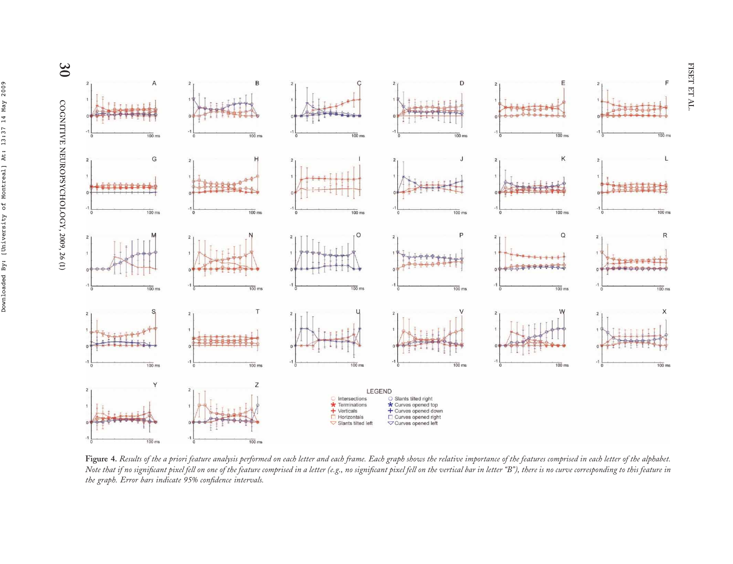

Figure 4. Results of the a priori feature analysis performed on each letter and each frame. Each graph shows the relative importance of the features comprised in each letter of the alphabet. Note that if no significant pixel fell on one of the feature comprised in a letter (e.g., no significant pixel fell on the vertical bar in letter "B"), there is no curve corresponding to this feature in the graph. Error bars indicate 95% confidence intervals.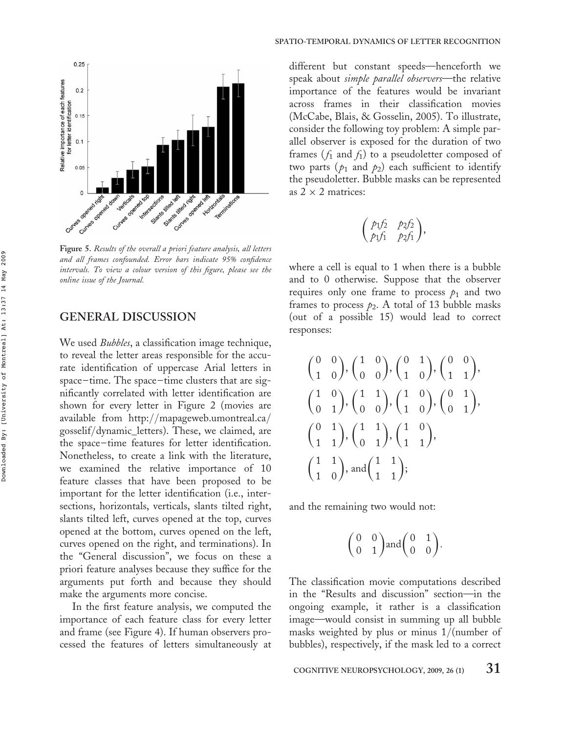

Figure 5. Results of the overall a priori feature analysis, all letters and all frames confounded. Error bars indicate 95% confidence intervals. To view a colour version of this figure, please see the online issue of the Journal.

### GENERAL DISCUSSION

We used *Bubbles*, a classification image technique, to reveal the letter areas responsible for the accurate identification of uppercase Arial letters in space – time. The space – time clusters that are significantly correlated with letter identification are shown for every letter in Figure 2 (movies are available from http://mapageweb.umontreal.ca/ gosselif/dynamic\_letters). These, we claimed, are the space – time features for letter identification. Nonetheless, to create a link with the literature, we examined the relative importance of 10 feature classes that have been proposed to be important for the letter identification (i.e., intersections, horizontals, verticals, slants tilted right, slants tilted left, curves opened at the top, curves opened at the bottom, curves opened on the left, curves opened on the right, and terminations). In the "General discussion", we focus on these a priori feature analyses because they suffice for the arguments put forth and because they should make the arguments more concise.

In the first feature analysis, we computed the importance of each feature class for every letter and frame (see Figure 4). If human observers processed the features of letters simultaneously at

different but constant speeds—henceforth we speak about *simple parallel observers*—the relative importance of the features would be invariant across frames in their classification movies (McCabe, Blais, & Gosselin, 2005). To illustrate, consider the following toy problem: A simple parallel observer is exposed for the duration of two frames ( $f_1$  and  $f_1$ ) to a pseudoletter composed of two parts ( $p_1$  and  $p_2$ ) each sufficient to identify the pseudoletter. Bubble masks can be represented as  $2 \times 2$  matrices:

$$
\begin{pmatrix} p_1f_2 & p_2f_2 \ p_1f_1 & p_2f_1 \end{pmatrix},
$$

where a cell is equal to 1 when there is a bubble and to 0 otherwise. Suppose that the observer requires only one frame to process  $p_1$  and two frames to process  $p_2$ . A total of 13 bubble masks (out of a possible 15) would lead to correct responses:

$$
\begin{pmatrix} 0 & 0 \ 1 & 0 \end{pmatrix}, \begin{pmatrix} 1 & 0 \ 0 & 0 \end{pmatrix}, \begin{pmatrix} 0 & 1 \ 1 & 0 \end{pmatrix}, \begin{pmatrix} 0 & 0 \ 1 & 1 \end{pmatrix}, \n\begin{pmatrix} 1 & 0 \ 0 & 1 \end{pmatrix}, \begin{pmatrix} 1 & 1 \ 0 & 0 \end{pmatrix}, \begin{pmatrix} 1 & 0 \ 1 & 0 \end{pmatrix}, \begin{pmatrix} 0 & 1 \ 0 & 1 \end{pmatrix}, \n\begin{pmatrix} 0 & 1 \ 1 & 1 \end{pmatrix}, \begin{pmatrix} 1 & 1 \ 0 & 1 \end{pmatrix}, \begin{pmatrix} 1 & 0 \ 1 & 1 \end{pmatrix}, \n\begin{pmatrix} 1 & 1 \ 1 & 0 \end{pmatrix}, \text{and} \begin{pmatrix} 1 & 1 \ 1 & 1 \end{pmatrix};
$$

and the remaining two would not:

$$
\begin{pmatrix} 0 & 0 \\ 0 & 1 \end{pmatrix} and \begin{pmatrix} 0 & 1 \\ 0 & 0 \end{pmatrix}.
$$

The classification movie computations described in the "Results and discussion" section—in the ongoing example, it rather is a classification image—would consist in summing up all bubble masks weighted by plus or minus 1/(number of bubbles), respectively, if the mask led to a correct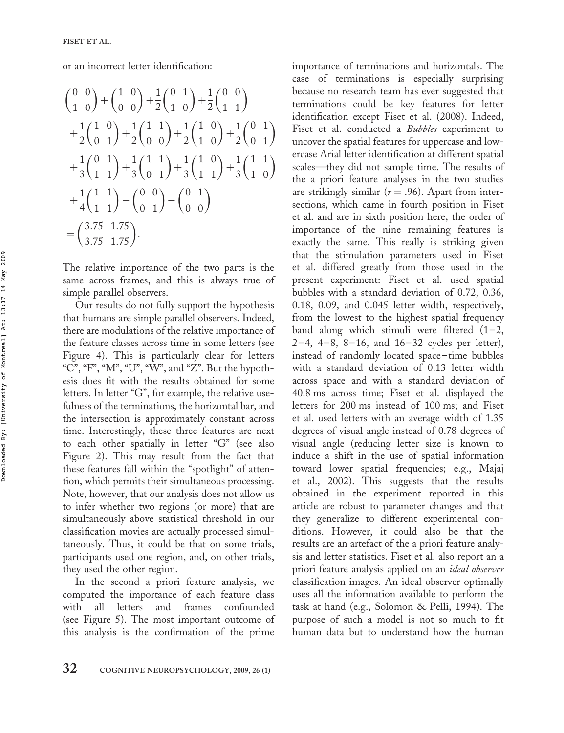or an incorrect letter identification:

$$
\begin{pmatrix}\n0 & 0 \\
1 & 0\n\end{pmatrix} + \begin{pmatrix}\n1 & 0 \\
0 & 0\n\end{pmatrix} + \frac{1}{2} \begin{pmatrix}\n0 & 1 \\
1 & 0\n\end{pmatrix} + \frac{1}{2} \begin{pmatrix}\n0 & 0 \\
1 & 1\n\end{pmatrix} \n+ \frac{1}{2} \begin{pmatrix}\n1 & 0 \\
0 & 1\n\end{pmatrix} + \frac{1}{2} \begin{pmatrix}\n1 & 1 \\
0 & 0\n\end{pmatrix} + \frac{1}{2} \begin{pmatrix}\n1 & 0 \\
1 & 0\n\end{pmatrix} + \frac{1}{2} \begin{pmatrix}\n0 & 1 \\
0 & 1\n\end{pmatrix} \n+ \frac{1}{3} \begin{pmatrix}\n0 & 1 \\
1 & 1\n\end{pmatrix} + \frac{1}{3} \begin{pmatrix}\n1 & 1 \\
0 & 1\n\end{pmatrix} + \frac{1}{3} \begin{pmatrix}\n1 & 0 \\
1 & 1\n\end{pmatrix} + \frac{1}{3} \begin{pmatrix}\n1 & 1 \\
1 & 0\n\end{pmatrix} \n+ \frac{1}{4} \begin{pmatrix}\n1 & 1 \\
1 & 1\n\end{pmatrix} - \begin{pmatrix}\n0 & 0 \\
0 & 1\n\end{pmatrix} - \begin{pmatrix}\n0 & 1 \\
0 & 0\n\end{pmatrix} \n= \begin{pmatrix}\n3.75 & 1.75 \\
3.75 & 1.75\n\end{pmatrix}.
$$

The relative importance of the two parts is the same across frames, and this is always true of simple parallel observers.

Our results do not fully support the hypothesis that humans are simple parallel observers. Indeed, there are modulations of the relative importance of the feature classes across time in some letters (see Figure 4). This is particularly clear for letters "C", "F", "M", "U", "W", and "Z". But the hypothesis does fit with the results obtained for some letters. In letter "G", for example, the relative usefulness of the terminations, the horizontal bar, and the intersection is approximately constant across time. Interestingly, these three features are next to each other spatially in letter "G" (see also Figure 2). This may result from the fact that these features fall within the "spotlight" of attention, which permits their simultaneous processing. Note, however, that our analysis does not allow us to infer whether two regions (or more) that are simultaneously above statistical threshold in our classification movies are actually processed simultaneously. Thus, it could be that on some trials, participants used one region, and, on other trials, they used the other region.

In the second a priori feature analysis, we computed the importance of each feature class with all letters and frames confounded (see Figure 5). The most important outcome of this analysis is the confirmation of the prime

importance of terminations and horizontals. The case of terminations is especially surprising because no research team has ever suggested that terminations could be key features for letter identification except Fiset et al. (2008). Indeed, Fiset et al. conducted a *Bubbles* experiment to uncover the spatial features for uppercase and lowercase Arial letter identification at different spatial scales—they did not sample time. The results of the a priori feature analyses in the two studies are strikingly similar ( $r = .96$ ). Apart from intersections, which came in fourth position in Fiset et al. and are in sixth position here, the order of importance of the nine remaining features is exactly the same. This really is striking given that the stimulation parameters used in Fiset et al. differed greatly from those used in the present experiment: Fiset et al. used spatial bubbles with a standard deviation of 0.72, 0.36, 0.18, 0.09, and 0.045 letter width, respectively, from the lowest to the highest spatial frequency band along which stimuli were filtered  $(1-2,$  $2-4$ ,  $4-8$ ,  $8-16$ , and  $16-32$  cycles per letter), instead of randomly located space – time bubbles with a standard deviation of 0.13 letter width across space and with a standard deviation of 40.8 ms across time; Fiset et al. displayed the letters for 200 ms instead of 100 ms; and Fiset et al. used letters with an average width of 1.35 degrees of visual angle instead of 0.78 degrees of visual angle (reducing letter size is known to induce a shift in the use of spatial information toward lower spatial frequencies; e.g., Majaj et al., 2002). This suggests that the results obtained in the experiment reported in this article are robust to parameter changes and that they generalize to different experimental conditions. However, it could also be that the results are an artefact of the a priori feature analysis and letter statistics. Fiset et al. also report an a priori feature analysis applied on an *ideal observer* classification images. An ideal observer optimally uses all the information available to perform the task at hand (e.g., Solomon & Pelli, 1994). The purpose of such a model is not so much to fit human data but to understand how the human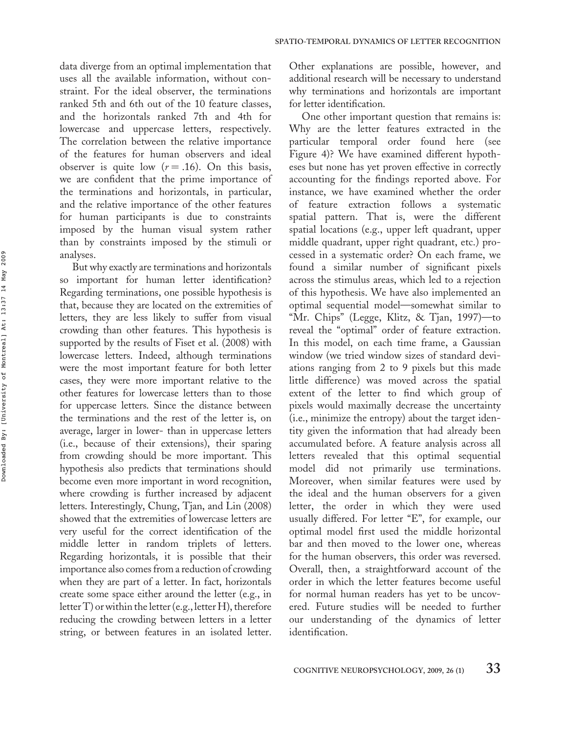data diverge from an optimal implementation that uses all the available information, without constraint. For the ideal observer, the terminations ranked 5th and 6th out of the 10 feature classes, and the horizontals ranked 7th and 4th for lowercase and uppercase letters, respectively. The correlation between the relative importance of the features for human observers and ideal observer is quite low  $(r = .16)$ . On this basis, we are confident that the prime importance of the terminations and horizontals, in particular, and the relative importance of the other features for human participants is due to constraints imposed by the human visual system rather than by constraints imposed by the stimuli or analyses.

But why exactly are terminations and horizontals so important for human letter identification? Regarding terminations, one possible hypothesis is that, because they are located on the extremities of letters, they are less likely to suffer from visual crowding than other features. This hypothesis is supported by the results of Fiset et al. (2008) with lowercase letters. Indeed, although terminations were the most important feature for both letter cases, they were more important relative to the other features for lowercase letters than to those for uppercase letters. Since the distance between the terminations and the rest of the letter is, on average, larger in lower- than in uppercase letters (i.e., because of their extensions), their sparing from crowding should be more important. This hypothesis also predicts that terminations should become even more important in word recognition, where crowding is further increased by adjacent letters. Interestingly, Chung, Tjan, and Lin (2008) showed that the extremities of lowercase letters are very useful for the correct identification of the middle letter in random triplets of letters. Regarding horizontals, it is possible that their importance also comes from a reduction of crowding when they are part of a letter. In fact, horizontals create some space either around the letter (e.g., in letter T) or within the letter (e.g., letter H), therefore reducing the crowding between letters in a letter string, or between features in an isolated letter.

Other explanations are possible, however, and additional research will be necessary to understand why terminations and horizontals are important for letter identification.

One other important question that remains is: Why are the letter features extracted in the particular temporal order found here (see Figure 4)? We have examined different hypotheses but none has yet proven effective in correctly accounting for the findings reported above. For instance, we have examined whether the order of feature extraction follows a systematic spatial pattern. That is, were the different spatial locations (e.g., upper left quadrant, upper middle quadrant, upper right quadrant, etc.) processed in a systematic order? On each frame, we found a similar number of significant pixels across the stimulus areas, which led to a rejection of this hypothesis. We have also implemented an optimal sequential model—somewhat similar to "Mr. Chips" (Legge, Klitz, & Tjan, 1997)—to reveal the "optimal" order of feature extraction. In this model, on each time frame, a Gaussian window (we tried window sizes of standard deviations ranging from 2 to 9 pixels but this made little difference) was moved across the spatial extent of the letter to find which group of pixels would maximally decrease the uncertainty (i.e., minimize the entropy) about the target identity given the information that had already been accumulated before. A feature analysis across all letters revealed that this optimal sequential model did not primarily use terminations. Moreover, when similar features were used by the ideal and the human observers for a given letter, the order in which they were used usually differed. For letter "E", for example, our optimal model first used the middle horizontal bar and then moved to the lower one, whereas for the human observers, this order was reversed. Overall, then, a straightforward account of the order in which the letter features become useful for normal human readers has yet to be uncovered. Future studies will be needed to further our understanding of the dynamics of letter identification.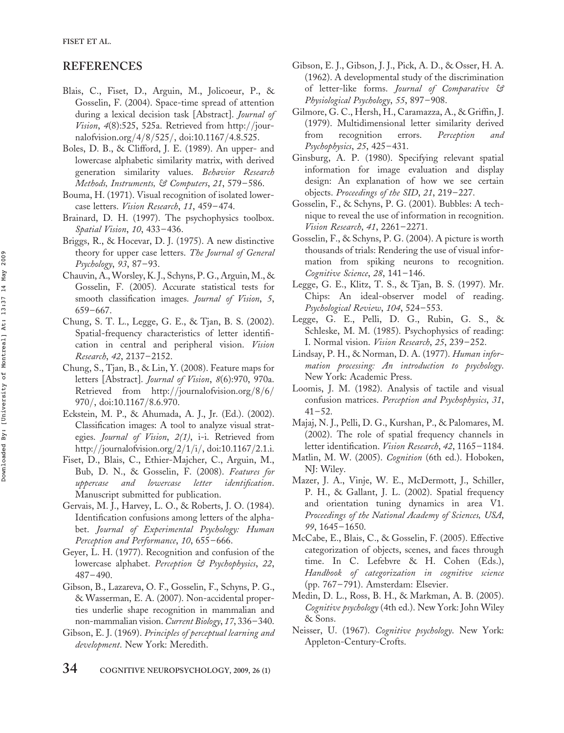## REFERENCES

- Blais, C., Fiset, D., Arguin, M., Jolicoeur, P., & Gosselin, F. (2004). Space-time spread of attention during a lexical decision task [Abstract]. Journal of Vision, 4(8):525, 525a. Retrieved from http://journalofvision.org/4/8/525/, doi:10.1167/4.8.525.
- Boles, D. B., & Clifford, J. E. (1989). An upper- and lowercase alphabetic similarity matrix, with derived generation similarity values. Behavior Research Methods, Instruments, & Computers, 21, 579-586.
- Bouma, H. (1971). Visual recognition of isolated lowercase letters. Vision Research, 11, 459-474.
- Brainard, D. H. (1997). The psychophysics toolbox. Spatial Vision, 10, 433 – 436.
- Briggs, R., & Hocevar, D. J. (1975). A new distinctive theory for upper case letters. The Journal of General Psychology, 93, 87-93.
- Chauvin, A., Worsley, K. J., Schyns, P. G., Arguin, M., & Gosselin, F. (2005). Accurate statistical tests for smooth classification images. Journal of Vision, 5, 659–667.
- Chung, S. T. L., Legge, G. E., & Tjan, B. S. (2002). Spatial-frequency characteristics of letter identification in central and peripheral vision. Vision Research, 42, 2137– 2152.
- Chung, S., Tjan, B., & Lin, Y. (2008). Feature maps for letters [Abstract]. Journal of Vision, 8(6):970, 970a. Retrieved from http://journalofvision.org/8/6/ 970/, doi:10.1167/8.6.970.
- Eckstein, M. P., & Ahumada, A. J., Jr. (Ed.). (2002). Classification images: A tool to analyze visual strategies. Journal of Vision, 2(1), i-i. Retrieved from http://journalofvision.org/2/1/i/, doi:10.1167/2.1.i.
- Fiset, D., Blais, C., Ethier-Majcher, C., Arguin, M., Bub, D. N., & Gosselin, F. (2008). Features for uppercase and lowercase letter identification. Manuscript submitted for publication.
- Gervais, M. J., Harvey, L. O., & Roberts, J. O. (1984). Identification confusions among letters of the alphabet. Journal of Experimental Psychology: Human Perception and Performance, 10, 655-666.
- Geyer, L. H. (1977). Recognition and confusion of the lowercase alphabet. Perception & Psychophysics, 22, 487 – 490.
- Gibson, B., Lazareva, O. F., Gosselin, F., Schyns, P. G., & Wasserman, E. A. (2007). Non-accidental properties underlie shape recognition in mammalian and non-mammalian vision. Current Biology, 17, 336-340.
- Gibson, E. J. (1969). Principles of perceptual learning and development. New York: Meredith.
- Gibson, E. J., Gibson, J. J., Pick, A. D., & Osser, H. A. (1962). A developmental study of the discrimination of letter-like forms. Journal of Comparative & Physiological Psychology, 55, 897-908.
- Gilmore, G. C., Hersh, H., Caramazza, A., & Griffin, J. (1979). Multidimensional letter similarity derived from recognition errors. Perception and Psychophysics, 25, 425 – 431.
- Ginsburg, A. P. (1980). Specifying relevant spatial information for image evaluation and display design: An explanation of how we see certain objects. Proceedings of the SID, 21, 219 – 227.
- Gosselin, F., & Schyns, P. G. (2001). Bubbles: A technique to reveal the use of information in recognition. Vision Research, 41, 2261– 2271.
- Gosselin, F., & Schyns, P. G. (2004). A picture is worth thousands of trials: Rendering the use of visual information from spiking neurons to recognition. Cognitive Science, 28, 141-146.
- Legge, G. E., Klitz, T. S., & Tjan, B. S. (1997). Mr. Chips: An ideal-observer model of reading. Psychological Review, 104, 524-553.
- Legge, G. E., Pelli, D. G., Rubin, G. S., & Schleske, M. M. (1985). Psychophysics of reading: I. Normal vision. Vision Research, 25, 239 – 252.
- Lindsay, P. H., & Norman, D. A. (1977). Human information processing: An introduction to psychology. New York: Academic Press.
- Loomis, J. M. (1982). Analysis of tactile and visual confusion matrices. Perception and Psychophysics, 31,  $41 - 52$ .
- Majaj, N. J., Pelli, D. G., Kurshan, P., & Palomares, M. (2002). The role of spatial frequency channels in letter identification. Vision Research, 42, 1165-1184.
- Matlin, M. W. (2005). Cognition (6th ed.). Hoboken, NJ: Wiley.
- Mazer, J. A., Vinje, W. E., McDermott, J., Schiller, P. H., & Gallant, J. L. (2002). Spatial frequency and orientation tuning dynamics in area V1. Proceedings of the National Academy of Sciences, USA, 99, 1645– 1650.
- McCabe, E., Blais, C., & Gosselin, F. (2005). Effective categorization of objects, scenes, and faces through time. In C. Lefebvre & H. Cohen (Eds.), Handbook of categorization in cognitive science (pp. 767 – 791). Amsterdam: Elsevier.
- Medin, D. L., Ross, B. H., & Markman, A. B. (2005). Cognitive psychology (4th ed.). New York: John Wiley & Sons.
- Neisser, U. (1967). Cognitive psychology. New York: Appleton-Century-Crofts.
- 34 COGNITIVE NEUROPSYCHOLOGY, 2009, 26 (1)